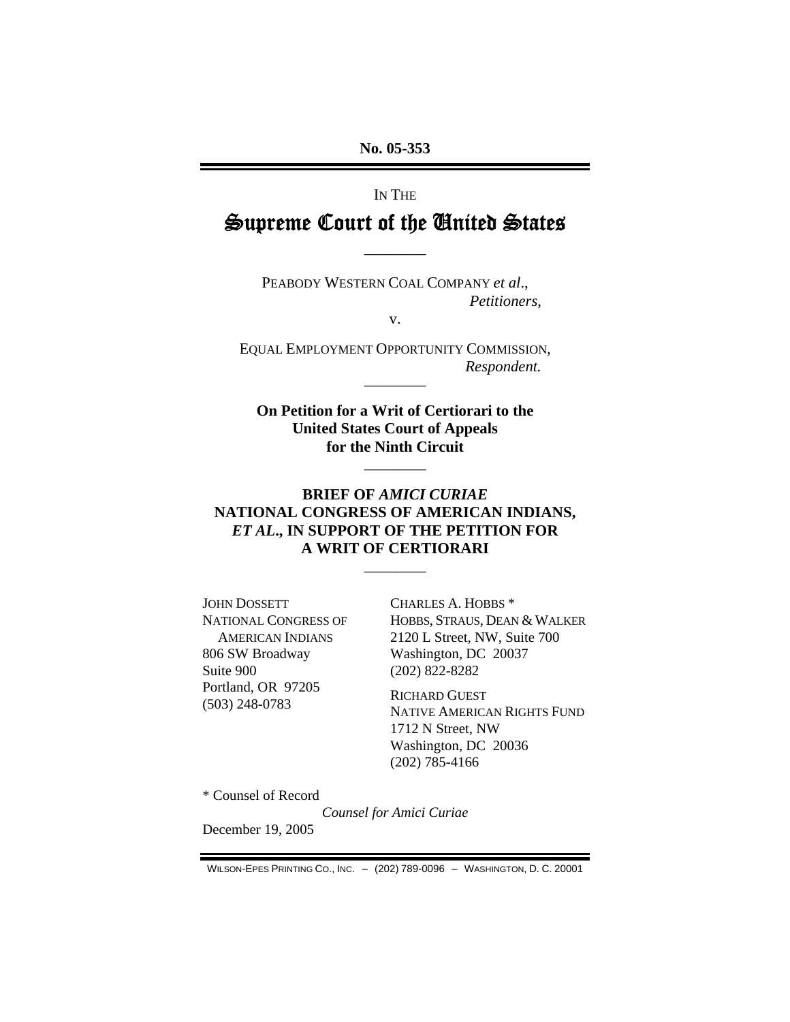## IN THE

# Supreme Court of the United States

————

PEABODY WESTERN COAL COMPANY *et al*., *Petitioners*,

v.

EQUAL EMPLOYMENT OPPORTUNITY COMMISSION, *Respondent.* 

————

**On Petition for a Writ of Certiorari to the United States Court of Appeals for the Ninth Circuit** 

————

## **BRIEF OF** *AMICI CURIAE* **NATIONAL CONGRESS OF AMERICAN INDIANS,**  *ET AL***., IN SUPPORT OF THE PETITION FOR A WRIT OF CERTIORARI**

————

JOHN DOSSETT NATIONAL CONGRESS OF AMERICAN INDIANS 806 SW Broadway Suite 900 Portland, OR 97205 (503) 248-0783

CHARLES A. HOBBS \* HOBBS, STRAUS, DEAN & WALKER 2120 L Street, NW, Suite 700 Washington, DC 20037 (202) 822-8282

RICHARD GUEST NATIVE AMERICAN RIGHTS FUND 1712 N Street, NW Washington, DC 20036 (202) 785-4166

\* Counsel of Record

*Counsel for Amici Curiae* 

December 19, 2005

WILSON-EPES PRINTING CO., INC. – (202) 789-0096 – WASHINGTON, D. C. 20001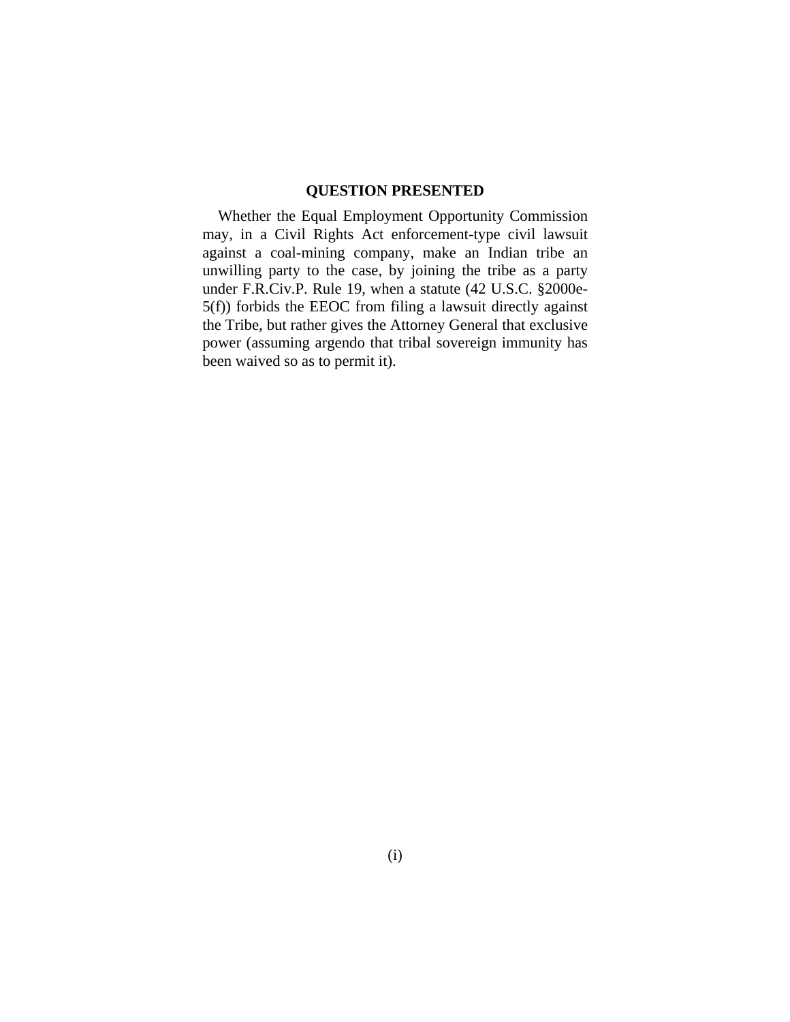## **QUESTION PRESENTED**

Whether the Equal Employment Opportunity Commission may, in a Civil Rights Act enforcement-type civil lawsuit against a coal-mining company, make an Indian tribe an unwilling party to the case, by joining the tribe as a party under F.R.Civ.P. Rule 19, when a statute (42 U.S.C. §2000e-5(f)) forbids the EEOC from filing a lawsuit directly against the Tribe, but rather gives the Attorney General that exclusive power (assuming argendo that tribal sovereign immunity has been waived so as to permit it).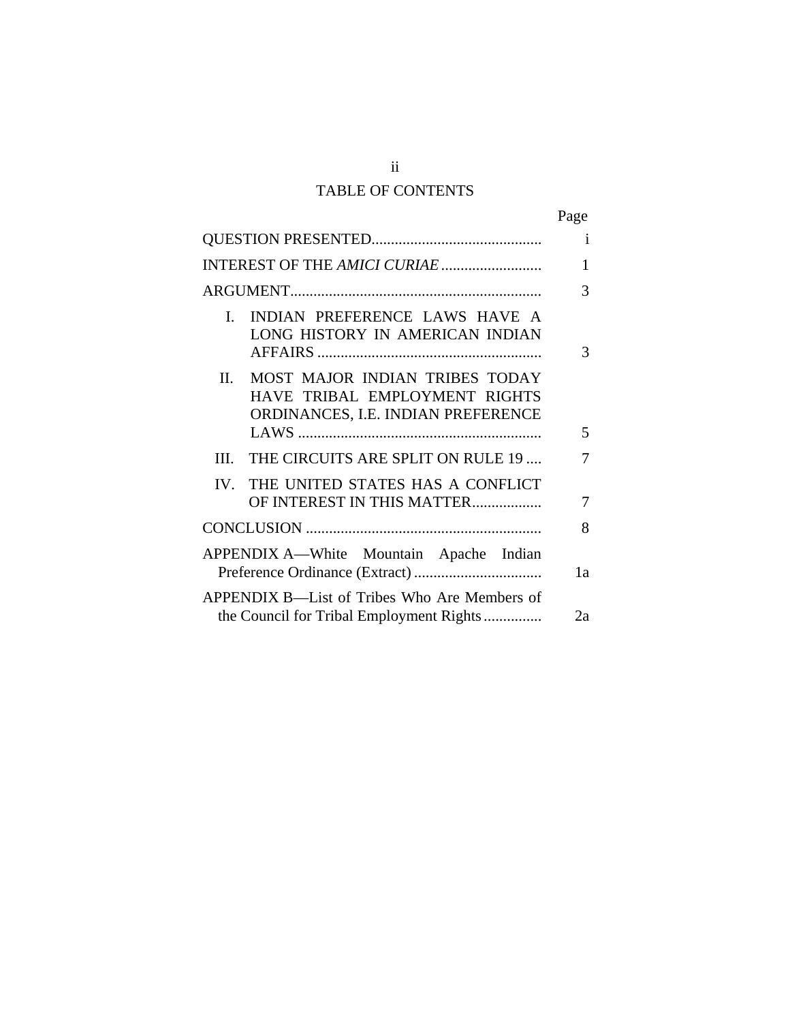# TABLE OF CONTENTS

|                                                                                                              | Page |
|--------------------------------------------------------------------------------------------------------------|------|
|                                                                                                              | i    |
| INTEREST OF THE AMICI CURIAE                                                                                 | 1    |
|                                                                                                              | 3    |
| INDIAN PREFERENCE LAWS HAVE A<br>$\mathbf{L}$<br>LONG HISTORY IN AMERICAN INDIAN                             | 3    |
| II.<br>MOST MAJOR INDIAN TRIBES TODAY<br>HAVE TRIBAL EMPLOYMENT RIGHTS<br>ORDINANCES, I.E. INDIAN PREFERENCE | 5    |
| THE CIRCUITS ARE SPLIT ON RULE 19<br>III                                                                     | 7    |
| IV. THE UNITED STATES HAS A CONFLICT<br>OF INTEREST IN THIS MATTER                                           | 7    |
|                                                                                                              |      |
| APPENDIX A-White Mountain Apache Indian                                                                      |      |
| APPENDIX B—List of Tribes Who Are Members of<br>the Council for Tribal Employment Rights                     | 2a   |

ii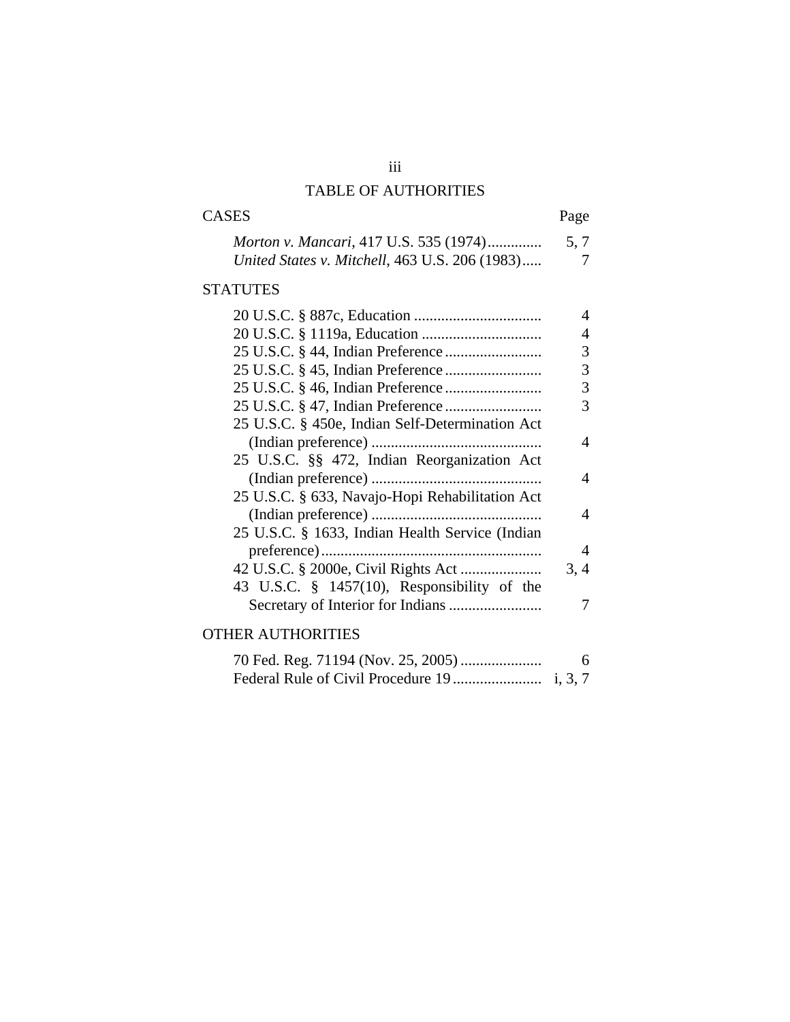## TABLE OF AUTHORITIES

# CASES Page *Morton v. Mancari*, 417 U.S. 535 (1974).............. 5, 7 *United States v. Mitchell*, 463 U.S. 206 (1983).....

## **STATUTES**

|                                                 | 4              |
|-------------------------------------------------|----------------|
|                                                 | 4              |
|                                                 | 3              |
|                                                 | 3              |
|                                                 | 3              |
|                                                 | 3              |
| 25 U.S.C. § 450e, Indian Self-Determination Act |                |
|                                                 | 4              |
| 25 U.S.C. §§ 472, Indian Reorganization Act     |                |
|                                                 | 4              |
| 25 U.S.C. § 633, Navajo-Hopi Rehabilitation Act |                |
|                                                 | 4              |
| 25 U.S.C. § 1633, Indian Health Service (Indian |                |
|                                                 | $\overline{4}$ |
|                                                 | 3, 4           |
| 43 U.S.C. § 1457(10), Responsibility of the     |                |
|                                                 |                |
| THER AUTHORITIES                                |                |
|                                                 |                |

| 6 |
|---|
|   |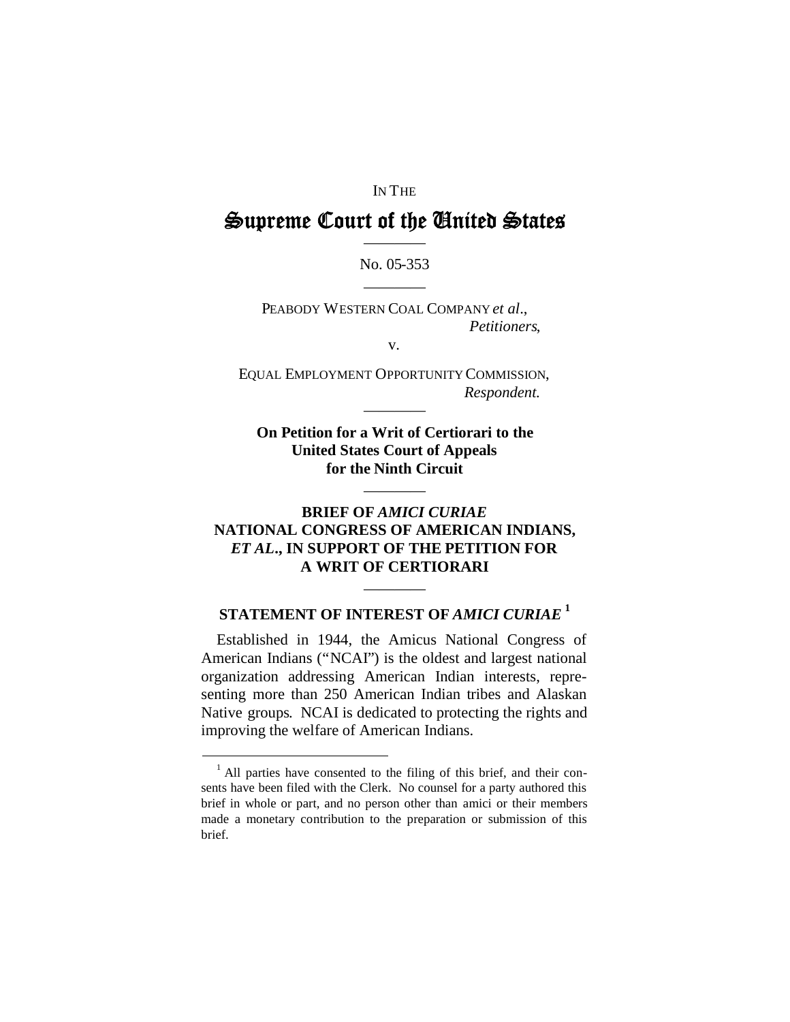#### IN THE

# Supreme Court of the United States ————

# No. 05-353 ————

PEABODY WESTERN COAL COMPANY *et al*., *Petitioners*,

v.

EQUAL EMPLOYMENT OPPORTUNITY COMMISSION, *Respondent.*

————

**On Petition for a Writ of Certiorari to the United States Court of Appeals for the Ninth Circuit**

————

## **BRIEF OF** *AMICI CURIAE* **NATIONAL CONGRESS OF AMERICAN INDIANS,** *ET AL***., IN SUPPORT OF THE PETITION FOR A WRIT OF CERTIORARI**

# **STATEMENT OF INTEREST OF** *AMICI CURIAE* **[1](#page-4-0)**

————

Established in 1944, the Amicus National Congress of American Indians ("NCAI") is the oldest and largest national organization addressing American Indian interests, representing more than 250 American Indian tribes and Alaskan Native groups. NCAI is dedicated to protecting the rights and improving the welfare of American Indians.

<span id="page-4-0"></span><sup>&</sup>lt;sup>1</sup> All parties have consented to the filing of this brief, and their consents have been filed with the Clerk. No counsel for a party authored this brief in whole or part, and no person other than amici or their members made a monetary contribution to the preparation or submission of this brief.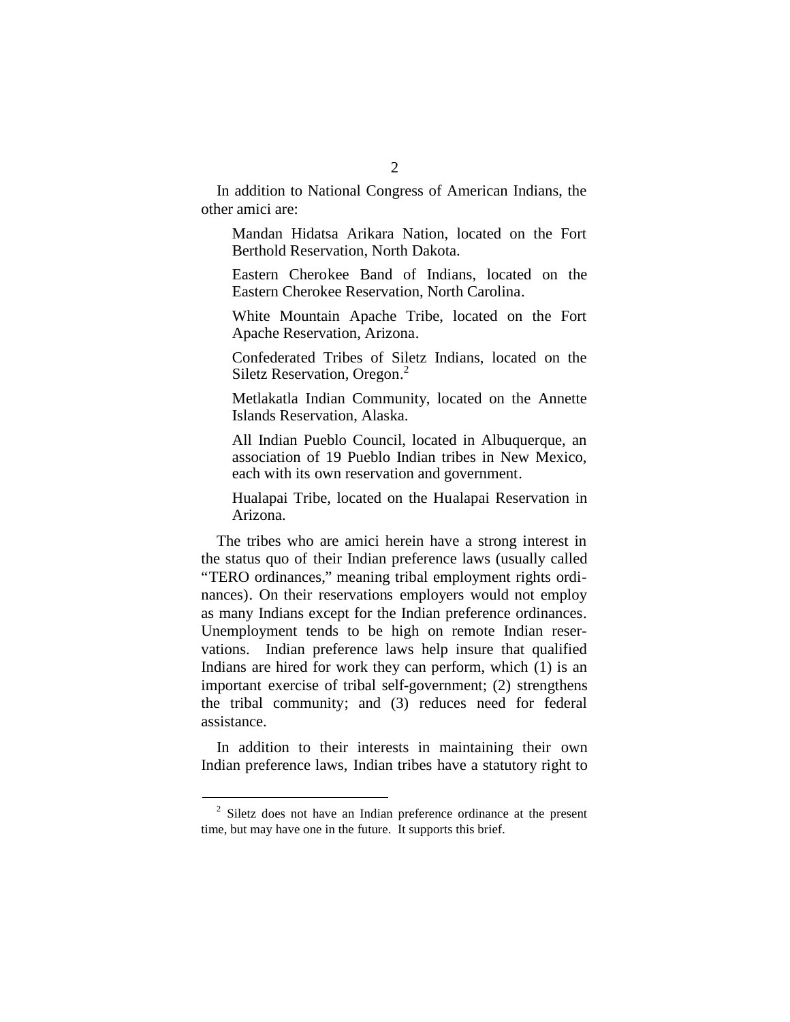In addition to National Congress of American Indians, the other amici are:

Mandan Hidatsa Arikara Nation, located on the Fort Berthold Reservation, North Dakota.

Eastern Cherokee Band of Indians, located on the Eastern Cherokee Reservation, North Carolina.

White Mountain Apache Tribe, located on the Fort Apache Reservation, Arizona.

Confederated Tribes of Siletz Indians, located on the Siletz Reservation, Oregon.<sup>[2](#page-5-0)</sup>

Metlakatla Indian Community, located on the Annette Islands Reservation, Alaska.

All Indian Pueblo Council, located in Albuquerque, an association of 19 Pueblo Indian tribes in New Mexico, each with its own reservation and government.

Hualapai Tribe, located on the Hualapai Reservation in Arizona.

The tribes who are amici herein have a strong interest in the status quo of their Indian preference laws (usually called "TERO ordinances," meaning tribal employment rights ordinances). On their reservations employers would not employ as many Indians except for the Indian preference ordinances. Unemployment tends to be high on remote Indian reservations. Indian preference laws help insure that qualified Indians are hired for work they can perform, which (1) is an important exercise of tribal self-government; (2) strengthens the tribal community; and (3) reduces need for federal assistance.

In addition to their interests in maintaining their own Indian preference laws, Indian tribes have a statutory right to

<span id="page-5-0"></span> $2^{2}$  Siletz does not have an Indian preference ordinance at the present time, but may have one in the future. It supports this brief.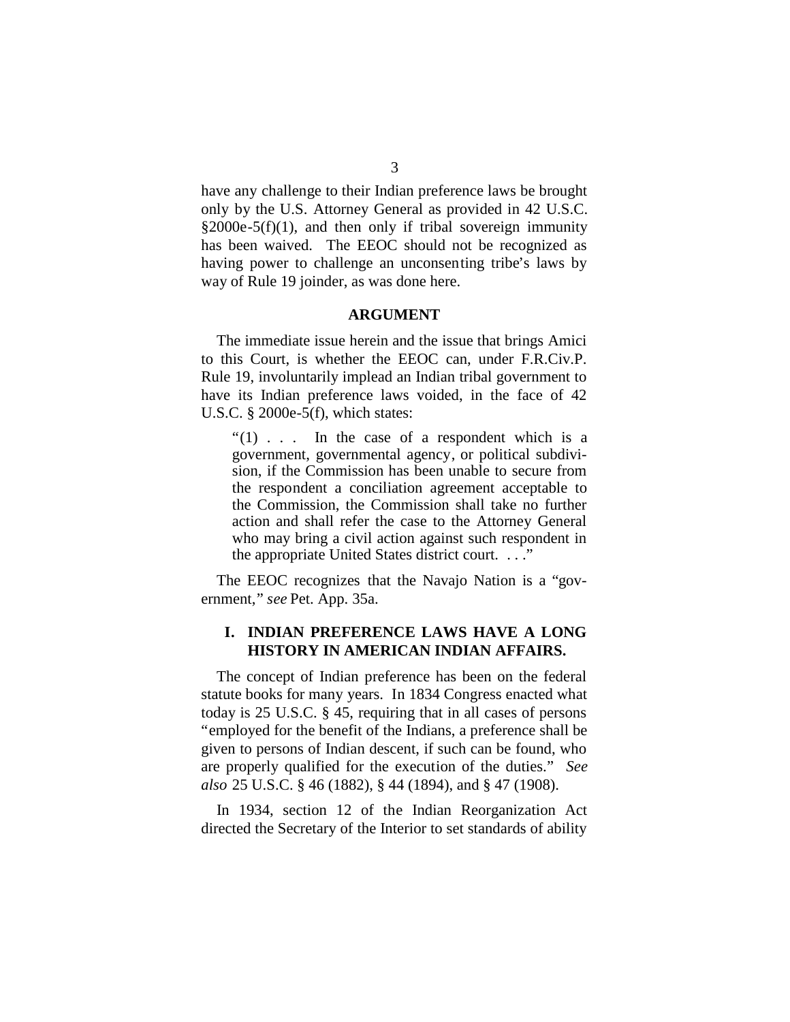have any challenge to their Indian preference laws be brought only by the U.S. Attorney General as provided in 42 U.S.C.  $§2000e-5(f)(1)$ , and then only if tribal sovereign immunity has been waived. The EEOC should not be recognized as having power to challenge an unconsenting tribe's laws by way of Rule 19 joinder, as was done here.

#### **ARGUMENT**

The immediate issue herein and the issue that brings Amici to this Court, is whether the EEOC can, under F.R.Civ.P. Rule 19, involuntarily implead an Indian tribal government to have its Indian preference laws voided, in the face of 42 U.S.C. § 2000e-5(f), which states:

 $\cdot$  (1) . . . In the case of a respondent which is a government, governmental agency, or political subdivision, if the Commission has been unable to secure from the respondent a conciliation agreement acceptable to the Commission, the Commission shall take no further action and shall refer the case to the Attorney General who may bring a civil action against such respondent in the appropriate United States district court. . . ."

The EEOC recognizes that the Navajo Nation is a "government," *see* Pet. App. 35a.

### **I. INDIAN PREFERENCE LAWS HAVE A LONG HISTORY IN AMERICAN INDIAN AFFAIRS.**

The concept of Indian preference has been on the federal statute books for many years. In 1834 Congress enacted what today is 25 U.S.C. § 45, requiring that in all cases of persons "employed for the benefit of the Indians, a preference shall be given to persons of Indian descent, if such can be found, who are properly qualified for the execution of the duties." *See also* 25 U.S.C. § 46 (1882), § 44 (1894), and § 47 (1908).

In 1934, section 12 of the Indian Reorganization Act directed the Secretary of the Interior to set standards of ability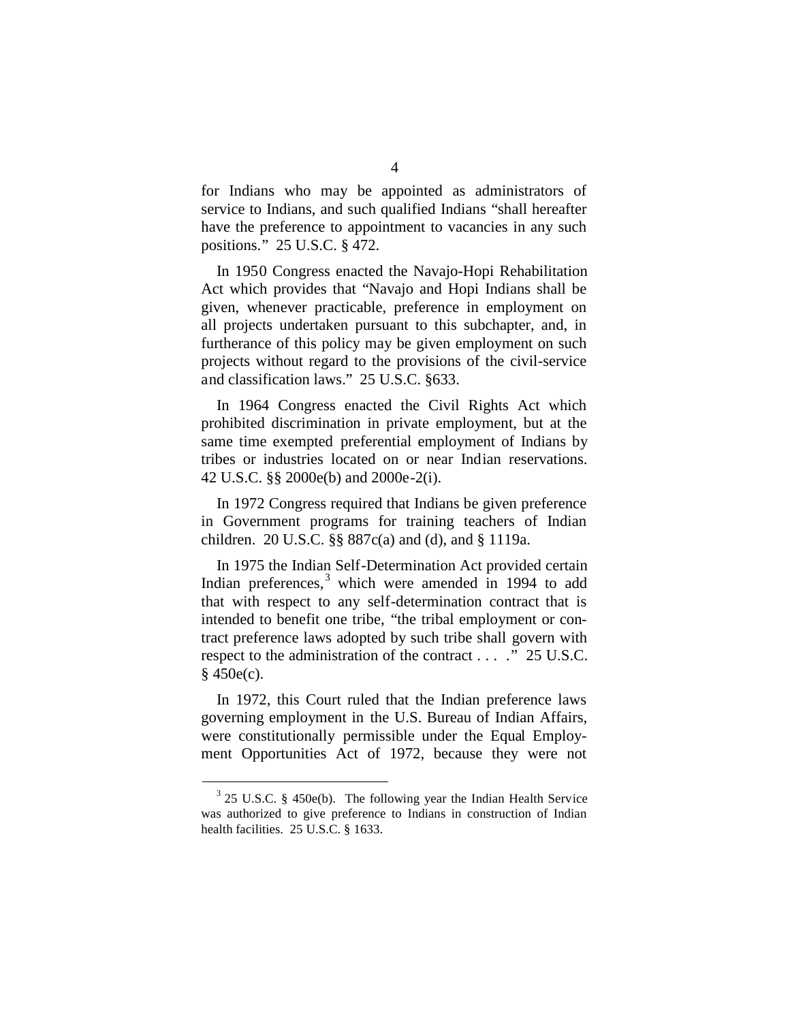for Indians who may be appointed as administrators of service to Indians, and such qualified Indians "shall hereafter have the preference to appointment to vacancies in any such positions." 25 U.S.C. § 472.

In 1950 Congress enacted the Navajo-Hopi Rehabilitation Act which provides that "Navajo and Hopi Indians shall be given, whenever practicable, preference in employment on all projects undertaken pursuant to this subchapter, and, in furtherance of this policy may be given employment on such projects without regard to the provisions of the civil-service and classification laws." 25 U.S.C. §633.

In 1964 Congress enacted the Civil Rights Act which prohibited discrimination in private employment, but at the same time exempted preferential employment of Indians by tribes or industries located on or near Indian reservations. 42 U.S.C. §§ 2000e(b) and 2000e-2(i).

In 1972 Congress required that Indians be given preference in Government programs for training teachers of Indian children. 20 U.S.C. §§ 887c(a) and (d), and § 1119a.

In 1975 the Indian Self-Determination Act provided certain Indian preferences, $3$  which were amended in 1994 to add that with respect to any self-determination contract that is intended to benefit one tribe, "the tribal employment or contract preference laws adopted by such tribe shall govern with respect to the administration of the contract . . . ." 25 U.S.C.  $§$  450e(c).

In 1972, this Court ruled that the Indian preference laws governing employment in the U.S. Bureau of Indian Affairs, were constitutionally permissible under the Equal Employment Opportunities Act of 1972, because they were not

<span id="page-7-0"></span> $3$  25 U.S.C. § 450e(b). The following year the Indian Health Service was authorized to give preference to Indians in construction of Indian health facilities. 25 U.S.C. § 1633.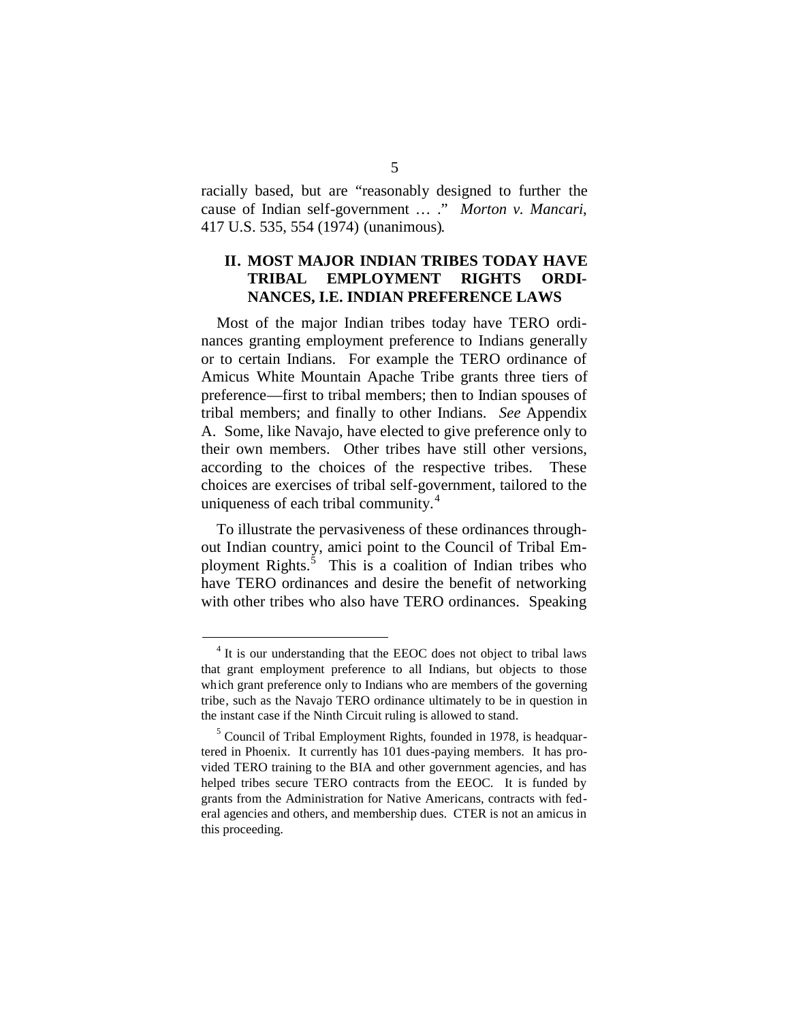racially based, but are "reasonably designed to further the cause of Indian self-government … ." *Morton v. Mancari*, 417 U.S. 535, 554 (1974) (unanimous).

### **II. MOST MAJOR INDIAN TRIBES TODAY HAVE TRIBAL EMPLOYMENT RIGHTS ORDI-NANCES, I.E. INDIAN PREFERENCE LAWS**

Most of the major Indian tribes today have TERO ordinances granting employment preference to Indians generally or to certain Indians. For example the TERO ordinance of Amicus White Mountain Apache Tribe grants three tiers of preference—first to tribal members; then to Indian spouses of tribal members; and finally to other Indians. *See* Appendix A. Some, like Navajo, have elected to give preference only to their own members. Other tribes have still other versions, according to the choices of the respective tribes. These choices are exercises of tribal self-government, tailored to the uniqueness of each tribal community.<sup>[4](#page-8-0)</sup>

To illustrate the pervasiveness of these ordinances throughout Indian country, amici point to the Council of Tribal Em-ployment Rights.<sup>[5](#page-8-1)</sup> This is a coalition of Indian tribes who have TERO ordinances and desire the benefit of networking with other tribes who also have TERO ordinances. Speaking

<span id="page-8-0"></span><sup>&</sup>lt;sup>4</sup> It is our understanding that the EEOC does not object to tribal laws that grant employment preference to all Indians, but objects to those which grant preference only to Indians who are members of the governing tribe, such as the Navajo TERO ordinance ultimately to be in question in the instant case if the Ninth Circuit ruling is allowed to stand.

<span id="page-8-1"></span> $<sup>5</sup>$  Council of Tribal Employment Rights, founded in 1978, is headquar-</sup> tered in Phoenix. It currently has 101 dues-paying members. It has provided TERO training to the BIA and other government agencies, and has helped tribes secure TERO contracts from the EEOC. It is funded by grants from the Administration for Native Americans, contracts with federal agencies and others, and membership dues. CTER is not an amicus in this proceeding.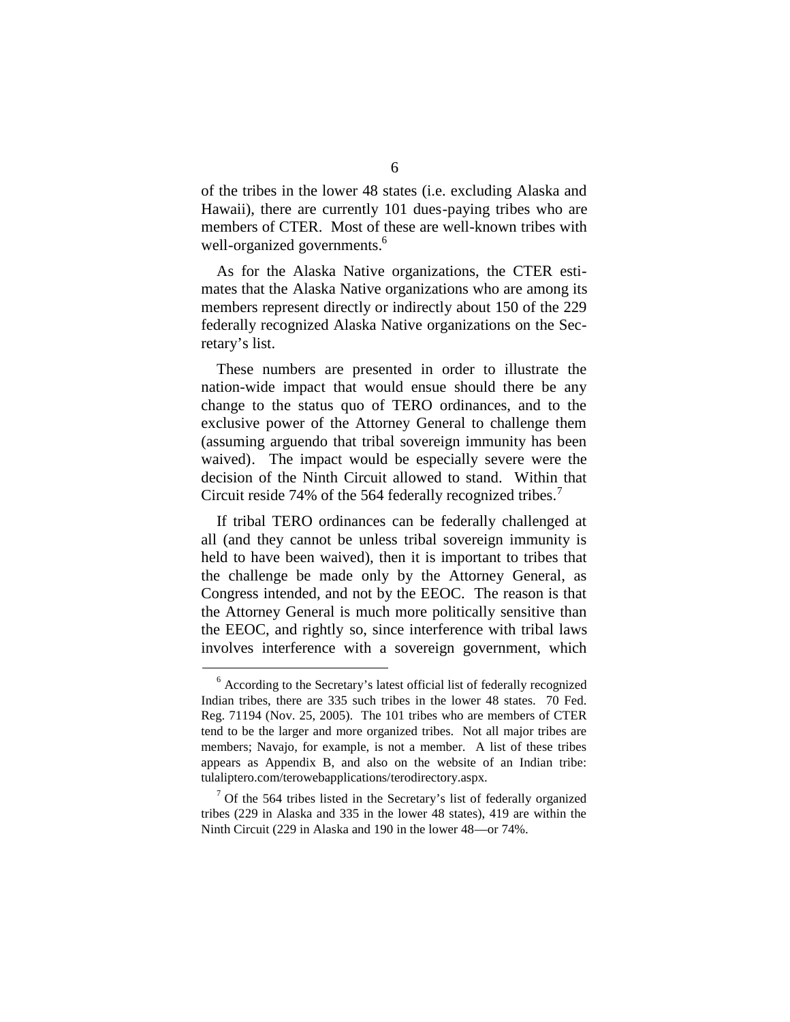of the tribes in the lower 48 states (i.e. excluding Alaska and Hawaii), there are currently 101 dues-paying tribes who are members of CTER. Most of these are well-known tribes with well-organized governments.<sup>[6](#page-9-0)</sup>

As for the Alaska Native organizations, the CTER estimates that the Alaska Native organizations who are among its members represent directly or indirectly about 150 of the 229 federally recognized Alaska Native organizations on the Secretary's list.

These numbers are presented in order to illustrate the nation-wide impact that would ensue should there be any change to the status quo of TERO ordinances, and to the exclusive power of the Attorney General to challenge them (assuming arguendo that tribal sovereign immunity has been waived). The impact would be especially severe were the decision of the Ninth Circuit allowed to stand. Within that Circuit reside [7](#page-9-1)4% of the 564 federally recognized tribes.<sup>7</sup>

If tribal TERO ordinances can be federally challenged at all (and they cannot be unless tribal sovereign immunity is held to have been waived), then it is important to tribes that the challenge be made only by the Attorney General, as Congress intended, and not by the EEOC. The reason is that the Attorney General is much more politically sensitive than the EEOC, and rightly so, since interference with tribal laws involves interference with a sovereign government, which

<span id="page-9-0"></span><sup>&</sup>lt;sup>6</sup> According to the Secretary's latest official list of federally recognized Indian tribes, there are 335 such tribes in the lower 48 states. 70 Fed. Reg. 71194 (Nov. 25, 2005). The 101 tribes who are members of CTER tend to be the larger and more organized tribes. Not all major tribes are members; Navajo, for example, is not a member. A list of these tribes appears as Appendix B, and also on the website of an Indian tribe: tulaliptero.com/terowebapplications/terodirectory.aspx.

<span id="page-9-1"></span> $\frac{7}{1}$  Of the 564 tribes listed in the Secretary's list of federally organized tribes (229 in Alaska and 335 in the lower 48 states), 419 are within the Ninth Circuit (229 in Alaska and 190 in the lower 48—or 74%.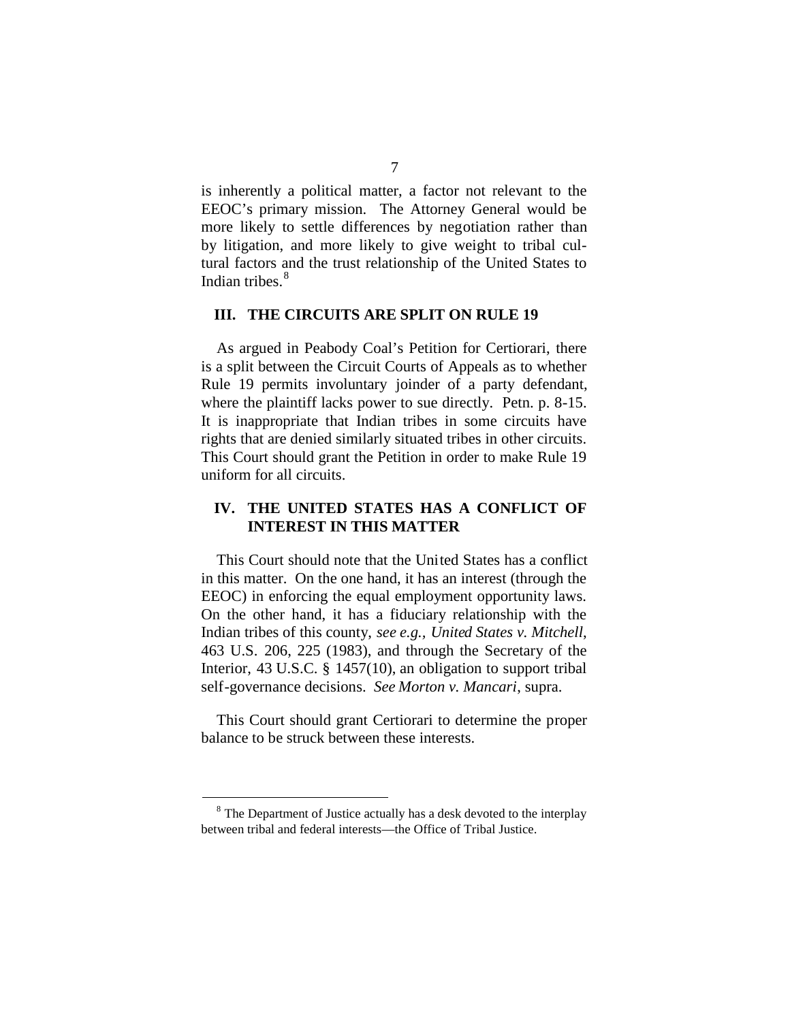is inherently a political matter, a factor not relevant to the EEOC's primary mission. The Attorney General would be more likely to settle differences by negotiation rather than by litigation, and more likely to give weight to tribal cultural factors and the trust relationship of the United States to Indian tribes.<sup>[8](#page-10-0)</sup>

#### **III. THE CIRCUITS ARE SPLIT ON RULE 19**

As argued in Peabody Coal's Petition for Certiorari, there is a split between the Circuit Courts of Appeals as to whether Rule 19 permits involuntary joinder of a party defendant, where the plaintiff lacks power to sue directly. Petn. p. 8-15. It is inappropriate that Indian tribes in some circuits have rights that are denied similarly situated tribes in other circuits. This Court should grant the Petition in order to make Rule 19 uniform for all circuits.

### **IV. THE UNITED STATES HAS A CONFLICT OF INTEREST IN THIS MATTER**

This Court should note that the United States has a conflict in this matter. On the one hand, it has an interest (through the EEOC) in enforcing the equal employment opportunity laws. On the other hand, it has a fiduciary relationship with the Indian tribes of this county, *see e.g., United States v. Mitchell*, 463 U.S. 206, 225 (1983), and through the Secretary of the Interior, 43 U.S.C. § 1457(10), an obligation to support tribal self-governance decisions. *See Morton v. Mancari*, supra.

This Court should grant Certiorari to determine the proper balance to be struck between these interests.

<span id="page-10-0"></span> $8<sup>8</sup>$  The Department of Justice actually has a desk devoted to the interplay between tribal and federal interests—the Office of Tribal Justice.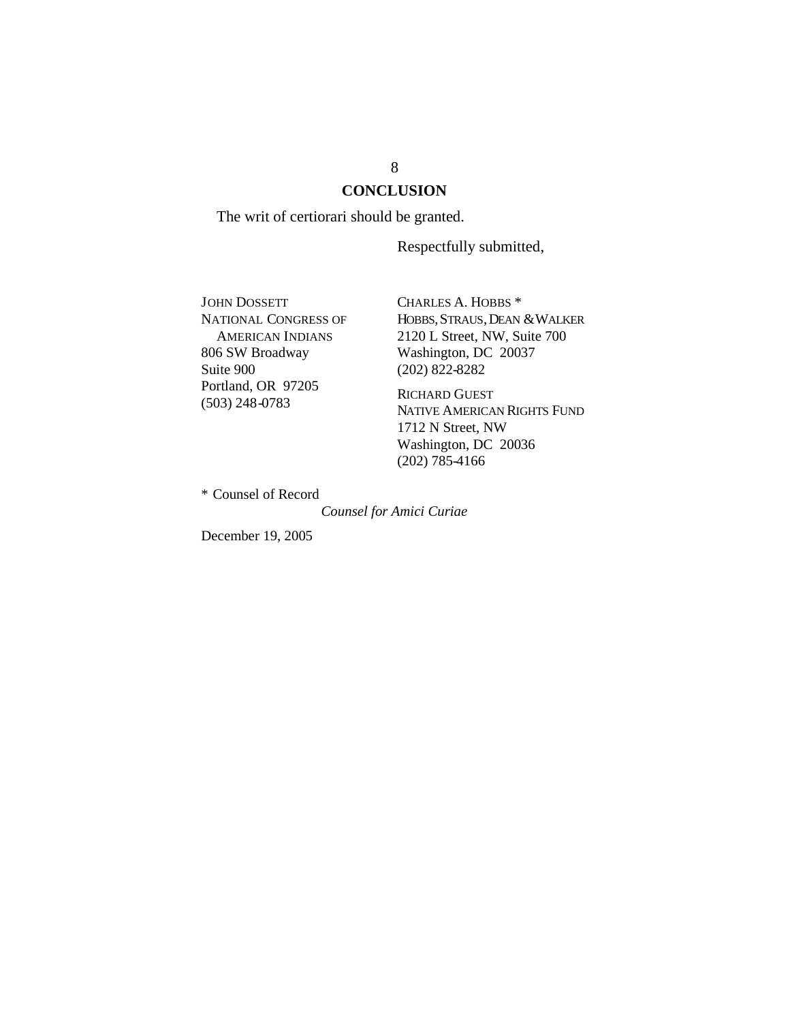## **CONCLUSION**

The writ of certiorari should be granted.

Respectfully submitted,

JOHN DOSSETT NATIONAL CONGRESS OF AMERICAN INDIANS 806 SW Broadway Suite 900 Portland, OR 97205 (503) 248-0783

CHARLES A. HOBBS \* HOBBS, STRAUS, DEAN & WALKER 2120 L Street, NW, Suite 700 Washington, DC 20037 (202) 822-8282

RICHARD GUEST NATIVE AMERICAN RIGHTS FUND 1712 N Street, NW Washington, DC 20036 (202) 785-4166

\* Counsel of Record

*Counsel for Amici Curiae*

December 19, 2005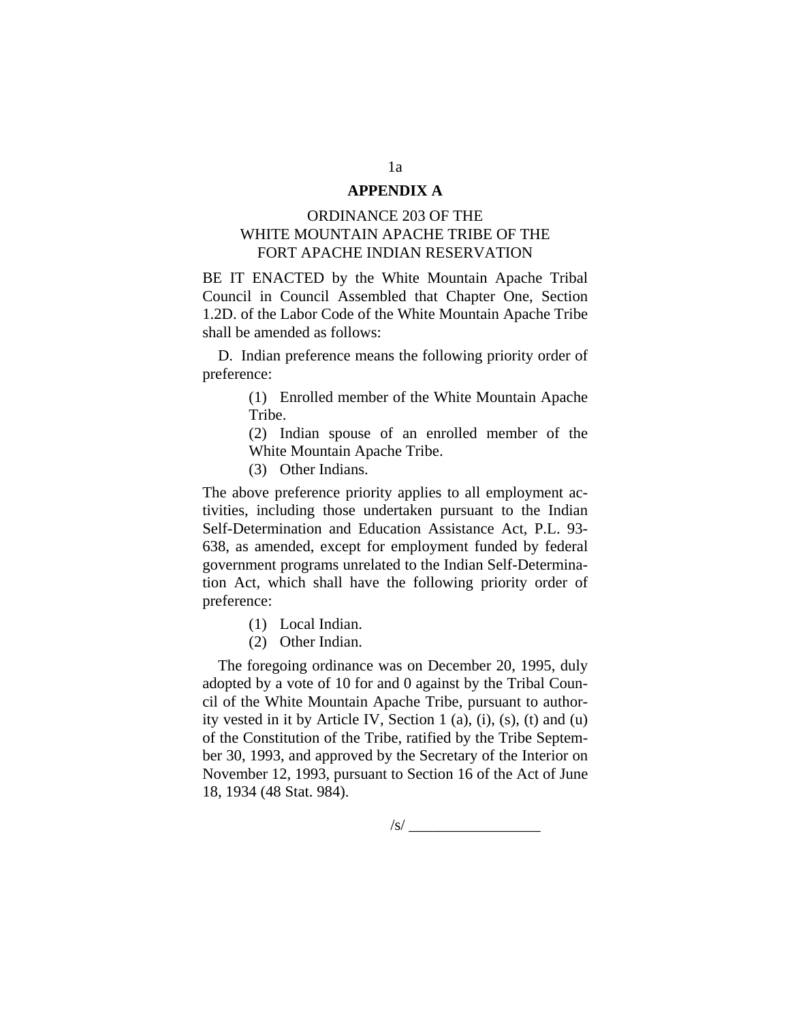#### **APPENDIX A**

### ORDINANCE 203 OF THE WHITE MOUNTAIN APACHE TRIBE OF THE FORT APACHE INDIAN RESERVATION

BE IT ENACTED by the White Mountain Apache Tribal Council in Council Assembled that Chapter One, Section 1.2D. of the Labor Code of the White Mountain Apache Tribe shall be amended as follows:

D. Indian preference means the following priority order of preference:

> (1) Enrolled member of the White Mountain Apache Tribe.

> (2) Indian spouse of an enrolled member of the White Mountain Apache Tribe.

(3) Other Indians.

The above preference priority applies to all employment activities, including those undertaken pursuant to the Indian Self-Determination and Education Assistance Act, P.L. 93- 638, as amended, except for employment funded by federal government programs unrelated to the Indian Self-Determination Act, which shall have the following priority order of preference:

- (1) Local Indian.
- (2) Other Indian.

The foregoing ordinance was on December 20, 1995, duly adopted by a vote of 10 for and 0 against by the Tribal Council of the White Mountain Apache Tribe, pursuant to authority vested in it by Article IV, Section 1 (a), (i), (s), (t) and (u) of the Constitution of the Tribe, ratified by the Tribe September 30, 1993, and approved by the Secretary of the Interior on November 12, 1993, pursuant to Section 16 of the Act of June 18, 1934 (48 Stat. 984).

1a

 $\sqrt{s}$ /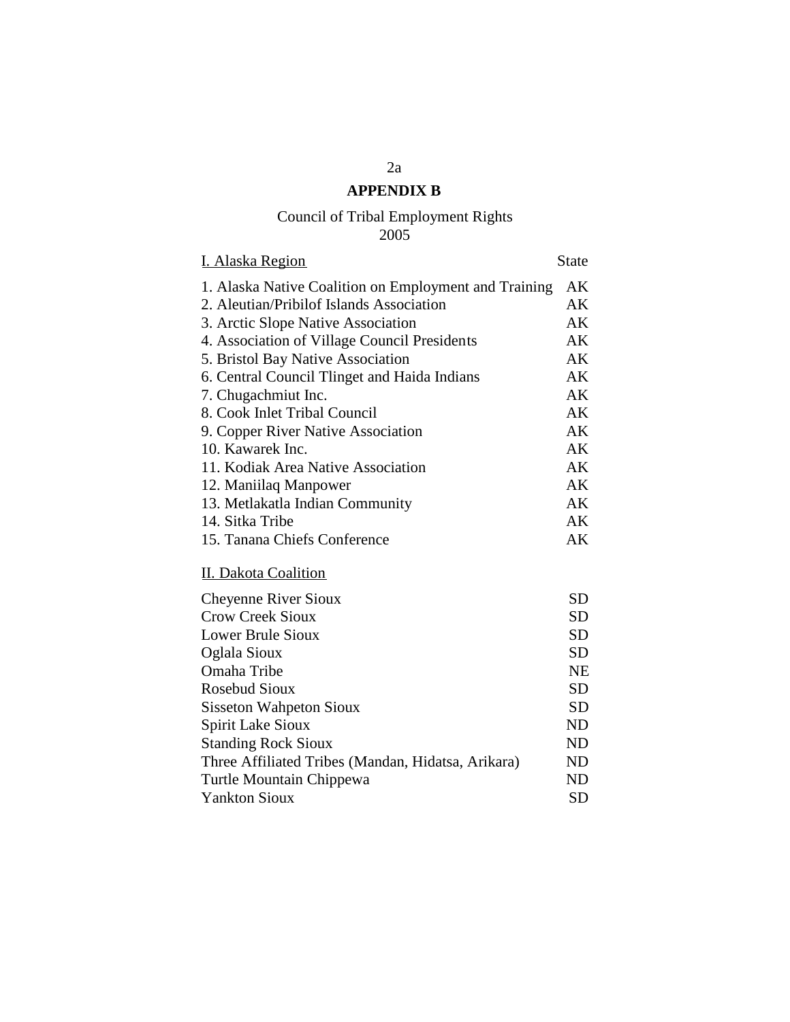# **APPENDIX B**

### Council of Tribal Employment Rights 2005

| <b>I. Alaska Region</b>                               | State |
|-------------------------------------------------------|-------|
| 1. Alaska Native Coalition on Employment and Training | AK    |
| 2. Aleutian/Pribilof Islands Association              | AK    |
| 3. Arctic Slope Native Association                    | AK    |
| 4. Association of Village Council Presidents          | AK    |
| 5. Bristol Bay Native Association                     | AK    |
| 6. Central Council Tlinget and Haida Indians          | AK    |
| 7. Chugachmiut Inc.                                   | AK    |
| 8. Cook Inlet Tribal Council                          | AK    |
| 9. Copper River Native Association                    | AK    |
| 10. Kawarek Inc.                                      | AK    |
| 11. Kodiak Area Native Association                    | AK    |
| 12. Maniilaq Manpower                                 | AK    |
| 13. Metlakatla Indian Community                       | AK    |
| 14. Sitka Tribe                                       | AK    |
| 15. Tanana Chiefs Conference                          | AK    |
|                                                       |       |

# II. Dakota Coalition

| Cheyenne River Sioux                               | <b>SD</b> |
|----------------------------------------------------|-----------|
| <b>Crow Creek Sioux</b>                            | SD        |
| Lower Brule Sioux                                  | <b>SD</b> |
| Oglala Sioux                                       | <b>SD</b> |
| Omaha Tribe                                        | NE        |
| <b>Rosebud Sioux</b>                               | <b>SD</b> |
| <b>Sisseton Wahpeton Sioux</b>                     | SD        |
| Spirit Lake Sioux                                  | ND        |
| <b>Standing Rock Sioux</b>                         | ND        |
| Three Affiliated Tribes (Mandan, Hidatsa, Arikara) | ND        |
| Turtle Mountain Chippewa                           | ND        |
| <b>Yankton Sioux</b>                               | SD        |
|                                                    |           |

2a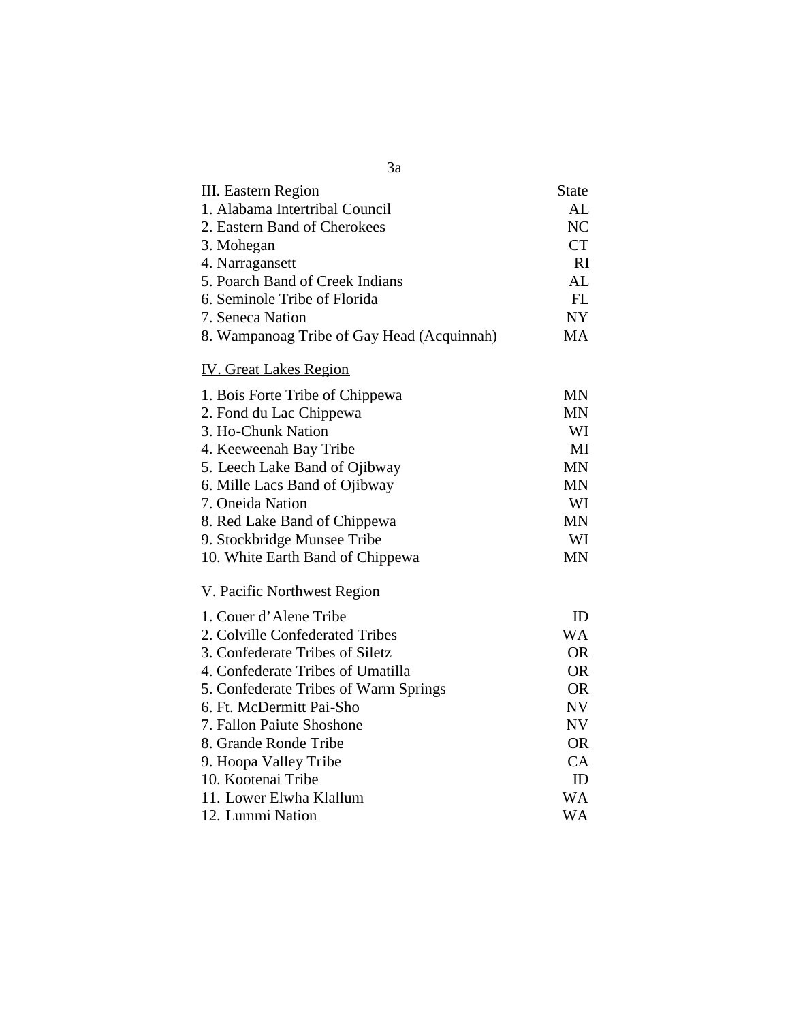| 3a                                         |              |
|--------------------------------------------|--------------|
| <b>III.</b> Eastern Region                 | <b>State</b> |
| 1. Alabama Intertribal Council             | AL           |
| 2. Eastern Band of Cherokees               | NC           |
| 3. Mohegan                                 | <b>CT</b>    |
| 4. Narragansett                            | RI           |
| 5. Poarch Band of Creek Indians            | AL           |
| 6. Seminole Tribe of Florida               | FL           |
| 7. Seneca Nation                           | NY           |
| 8. Wampanoag Tribe of Gay Head (Acquinnah) | <b>MA</b>    |
| <b>IV.</b> Great Lakes Region              |              |
| 1. Bois Forte Tribe of Chippewa            | <b>MN</b>    |
| 2. Fond du Lac Chippewa                    | MN           |
| 3. Ho-Chunk Nation                         | WI           |
| 4. Keeweenah Bay Tribe                     | MI           |
| 5. Leech Lake Band of Ojibway              | <b>MN</b>    |
| 6. Mille Lacs Band of Ojibway              | <b>MN</b>    |
| 7. Oneida Nation                           | WI           |
| 8. Red Lake Band of Chippewa               | <b>MN</b>    |
| 9. Stockbridge Munsee Tribe                | WI           |
| 10. White Earth Band of Chippewa           | <b>MN</b>    |
| V. Pacific Northwest Region                |              |
| 1. Couer d'Alene Tribe                     | ID           |
| 2. Colville Confederated Tribes            | <b>WA</b>    |
| 3. Confederate Tribes of Siletz            | <b>OR</b>    |
| 4. Confederate Tribes of Umatilla          | <b>OR</b>    |
| 5. Confederate Tribes of Warm Springs      | <b>OR</b>    |
| 6. Ft. McDermitt Pai-Sho                   | NV           |
| 7. Fallon Paiute Shoshone                  | NV           |
| 8. Grande Ronde Tribe                      | <b>OR</b>    |
| 9. Hoopa Valley Tribe                      | CA           |
| 10. Kootenai Tribe                         | ID           |
| 11. Lower Elwha Klallum                    | <b>WA</b>    |
| 12. Lummi Nation                           | <b>WA</b>    |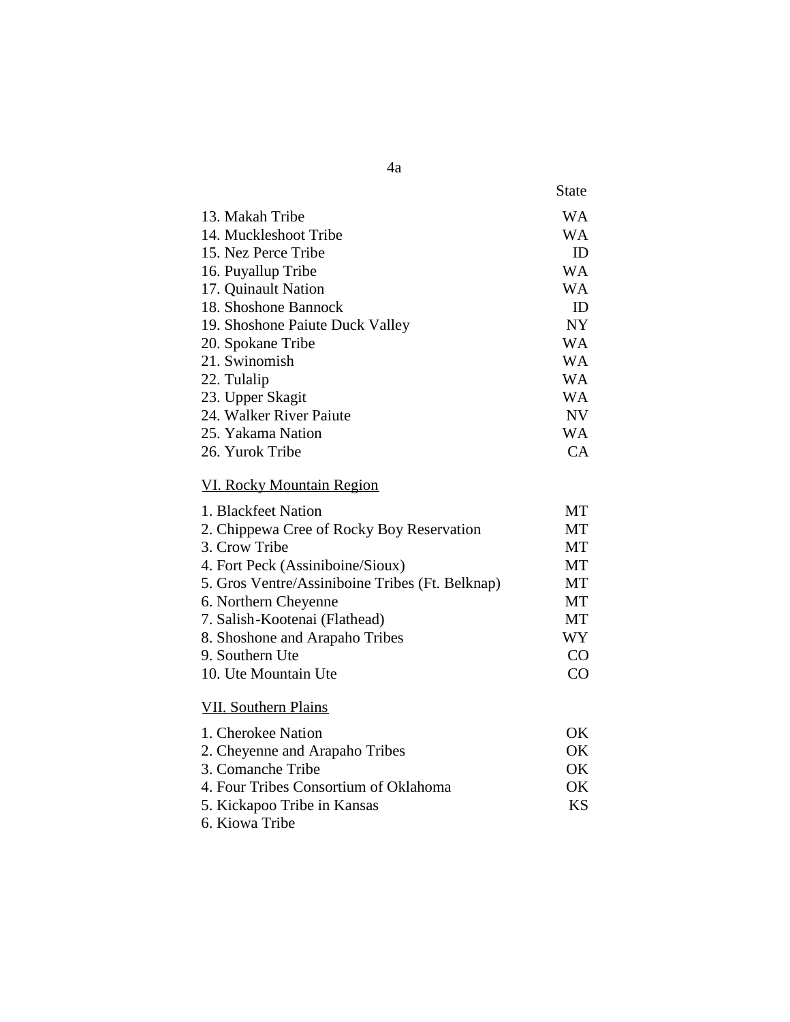|                                 | <b>State</b> |
|---------------------------------|--------------|
| 13. Makah Tribe                 | WА           |
| 14. Muckleshoot Tribe           | WA           |
| 15. Nez Perce Tribe             | ID           |
| 16. Puyallup Tribe              | WА           |
| 17. Quinault Nation             | <b>WA</b>    |
| 18. Shoshone Bannock            | ID           |
| 19. Shoshone Paiute Duck Valley | <b>NY</b>    |
| 20. Spokane Tribe               | WА           |
| 21. Swinomish                   | WА           |
| 22. Tulalip                     | WА           |
| 23. Upper Skagit                | WА           |
| 24. Walker River Paiute         | <b>NV</b>    |
| 25. Yakama Nation               | WА           |
| 26. Yurok Tribe                 | CА           |

# VI. Rocky Mountain Region

| 1. Blackfeet Nation                             | MТ |
|-------------------------------------------------|----|
| 2. Chippewa Cree of Rocky Boy Reservation       | MТ |
| 3. Crow Tribe                                   | МT |
| 4. Fort Peck (Assiniboine/Sioux)                | MT |
| 5. Gros Ventre/Assiniboine Tribes (Ft. Belknap) | MТ |
| 6. Northern Cheyenne                            | MТ |
| 7. Salish-Kootenai (Flathead)                   | MT |
| 8. Shoshone and Arapaho Tribes                  | WY |
| 9. Southern Ute                                 | CO |
| 10. Ute Mountain Ute                            | CO |
|                                                 |    |
| VII. Southern Plains                            |    |

| 1. Cherokee Nation                    |           |
|---------------------------------------|-----------|
| 2. Cheyenne and Arapaho Tribes        | OK        |
| 3. Comanche Tribe                     | OK        |
| 4. Four Tribes Consortium of Oklahoma | OK        |
| 5. Kickapoo Tribe in Kansas           | <b>KS</b> |
| 6. Kiowa Tribe                        |           |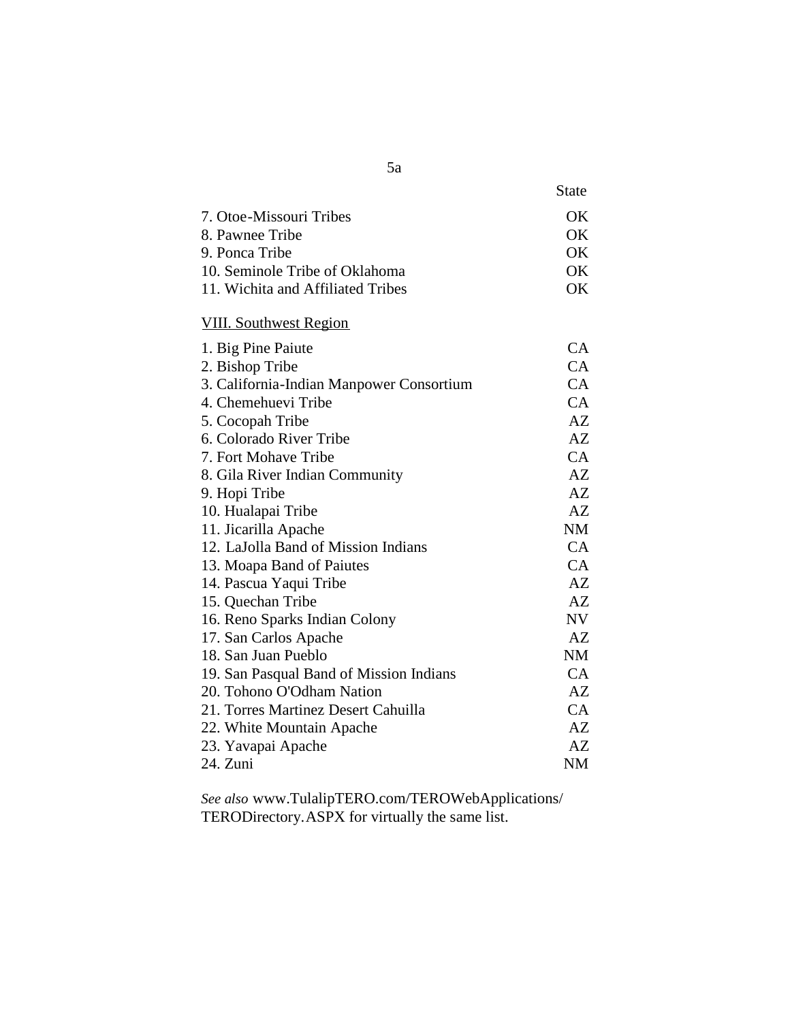|                                          | State     |
|------------------------------------------|-----------|
| 7. Otoe-Missouri Tribes                  | OK        |
| 8. Pawnee Tribe                          | OK        |
| 9. Ponca Tribe                           | OK        |
| 10. Seminole Tribe of Oklahoma           | OK        |
| 11. Wichita and Affiliated Tribes        | OK        |
| <b>VIII.</b> Southwest Region            |           |
| 1. Big Pine Paiute                       | CA        |
| 2. Bishop Tribe                          | CA        |
| 3. California-Indian Manpower Consortium | CA        |
| 4. Chemehuevi Tribe                      | CA        |
| 5. Cocopah Tribe                         | AZ        |
| 6. Colorado River Tribe                  | AZ        |
| 7. Fort Mohave Tribe                     | CA        |
| 8. Gila River Indian Community           | AZ        |
| 9. Hopi Tribe                            | AZ        |
| 10. Hualapai Tribe                       | AZ        |
| 11. Jicarilla Apache                     | <b>NM</b> |
| 12. LaJolla Band of Mission Indians      | CA        |
| 13. Moapa Band of Paiutes                | CA        |
| 14. Pascua Yaqui Tribe                   | AZ        |
| 15. Quechan Tribe                        | AZ        |
| 16. Reno Sparks Indian Colony            | <b>NV</b> |
| 17. San Carlos Apache                    | AZ        |
| 18. San Juan Pueblo                      | <b>NM</b> |
| 19. San Pasqual Band of Mission Indians  | CA        |
| 20. Tohono O'Odham Nation                | AZ        |
| 21. Torres Martinez Desert Cahuilla      | CA        |
| 22. White Mountain Apache                | AZ        |
| 23. Yavapai Apache                       | AZ        |
| 24. Zuni                                 | <b>NM</b> |

*See also* www.TulalipTERO.com/TEROWebApplications/ TERODirectory.ASPX for virtually the same list.

5a